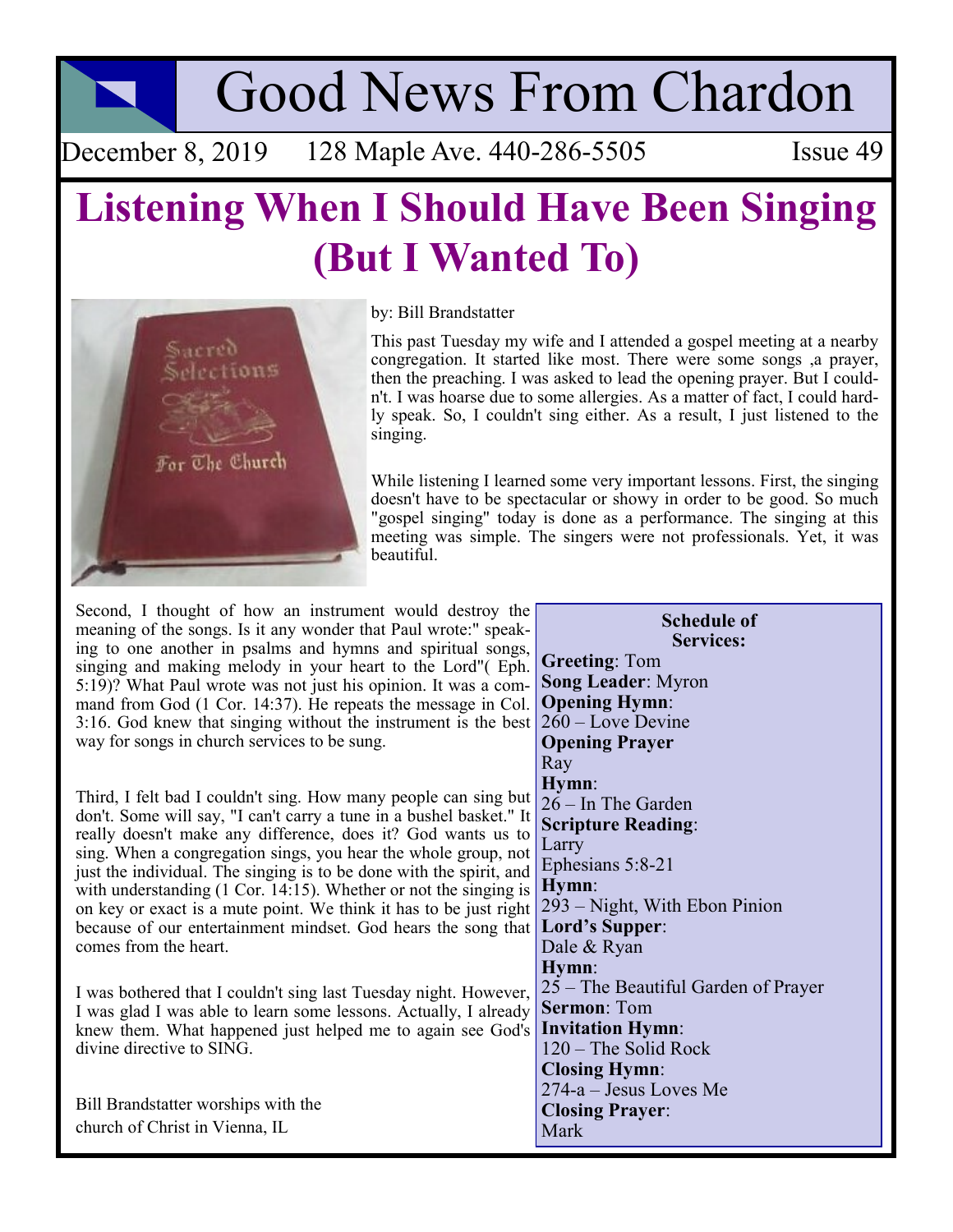Good News From Chardon

December 8, 2019 128 Maple Ave. 440-286-5505 Issue 49

# **Listening When I Should Have Been Singing (But I Wanted To)**



### by: Bill Brandstatter

This past Tuesday my wife and I attended a gospel meeting at a nearby congregation. It started like most. There were some songs ,a prayer, then the preaching. I was asked to lead the opening prayer. But I couldn't. I was hoarse due to some allergies. As a matter of fact, I could hardly speak. So, I couldn't sing either. As a result, I just listened to the singing.

While listening I learned some very important lessons. First, the singing doesn't have to be spectacular or showy in order to be good. So much "gospel singing" today is done as a performance. The singing at this meeting was simple. The singers were not professionals. Yet, it was beautiful.

Second, I thought of how an instrument would destroy the meaning of the songs. Is it any wonder that Paul wrote:" speaking to one another in psalms and hymns and spiritual songs, singing and making melody in your heart to the Lord"( Eph. 5:19)? What Paul wrote was not just his opinion. It was a command from God (1 Cor. 14:37). He repeats the message in Col. 3:16. God knew that singing without the instrument is the best way for songs in church services to be sung.

Third, I felt bad I couldn't sing. How many people can sing but don't. Some will say, "I can't carry a tune in a bushel basket." It really doesn't make any difference, does it? God wants us to sing. When a congregation sings, you hear the whole group, not just the individual. The singing is to be done with the spirit, and with understanding (1 Cor. 14:15). Whether or not the singing is on key or exact is a mute point. We think it has to be just right because of our entertainment mindset. God hears the song that comes from the heart.

I was bothered that I couldn't sing last Tuesday night. However, I was glad I was able to learn some lessons. Actually, I already knew them. What happened just helped me to again see God's divine directive to SING.

Bill Brandstatter worships with the church of Christ in Vienna, IL

**Services: Greeting**: Tom **Song Leader**: Myron **Opening Hymn**:  $260 - \text{Love Devine}$ **Opening Prayer** Ray **Hymn**: 26 – In The Garden **Scripture Reading**: Larry Ephesians 5:8-21 **Hymn**: 293 – Night, With Ebon Pinion **Lord's Supper**: Dale & Ryan **Hymn**: 25 – The Beautiful Garden of Prayer **Sermon**: Tom **Invitation Hymn**: 120 – The Solid Rock **Closing Hymn**: 274-a – Jesus Loves Me **Closing Prayer**: Mark

**Schedule of**